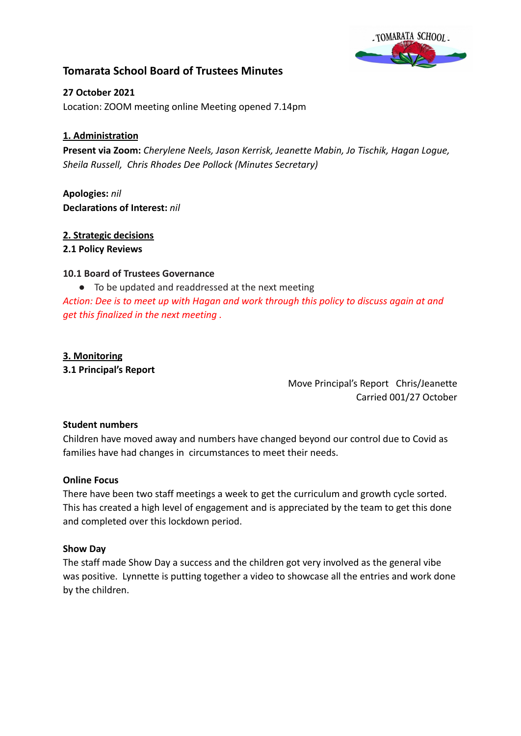

# **Tomarata School Board of Trustees Minutes**

**27 October 2021** Location: ZOOM meeting online Meeting opened 7.14pm

# **1. Administration**

**Present via Zoom:** *Cherylene Neels, Jason Kerrisk, Jeanette Mabin, Jo Tischik, Hagan Logue, Sheila Russell, Chris Rhodes Dee Pollock (Minutes Secretary)*

**Apologies:** *nil* **Declarations of Interest:** *nil*

### **2. Strategic decisions**

#### **2.1 Policy Reviews**

### **10.1 Board of Trustees Governance**

● To be updated and readdressed at the next meeting

*Action: Dee is to meet up with Hagan and work through this policy to discuss again at and get this finalized in the next meeting .*

#### **3. Monitoring**

**3.1 Principal's Report**

Move Principal's Report Chris/Jeanette Carried 001/27 October

#### **Student numbers**

Children have moved away and numbers have changed beyond our control due to Covid as families have had changes in circumstances to meet their needs.

#### **Online Focus**

There have been two staff meetings a week to get the curriculum and growth cycle sorted. This has created a high level of engagement and is appreciated by the team to get this done and completed over this lockdown period.

#### **Show Day**

The staff made Show Day a success and the children got very involved as the general vibe was positive. Lynnette is putting together a video to showcase all the entries and work done by the children.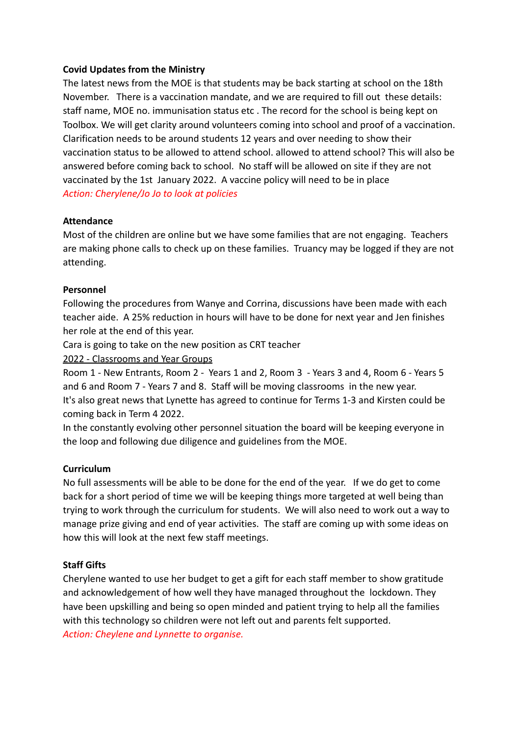### **Covid Updates from the Ministry**

The latest news from the MOE is that students may be back starting at school on the 18th November. There is a vaccination mandate, and we are required to fill out these details: staff name, MOE no. immunisation status etc . The record for the school is being kept on Toolbox. We will get clarity around volunteers coming into school and proof of a vaccination. Clarification needs to be around students 12 years and over needing to show their vaccination status to be allowed to attend school. allowed to attend school? This will also be answered before coming back to school. No staff will be allowed on site if they are not vaccinated by the 1st January 2022. A vaccine policy will need to be in place *Action: Cherylene/Jo Jo to look at policies*

### **Attendance**

Most of the children are online but we have some families that are not engaging. Teachers are making phone calls to check up on these families. Truancy may be logged if they are not attending.

### **Personnel**

Following the procedures from Wanye and Corrina, discussions have been made with each teacher aide. A 25% reduction in hours will have to be done for next year and Jen finishes her role at the end of this year.

Cara is going to take on the new position as CRT teacher

2022 - Classrooms and Year Groups

Room 1 - New Entrants, Room 2 - Years 1 and 2, Room 3 - Years 3 and 4, Room 6 - Years 5 and 6 and Room 7 - Years 7 and 8. Staff will be moving classrooms in the new year. It's also great news that Lynette has agreed to continue for Terms 1-3 and Kirsten could be coming back in Term 4 2022.

In the constantly evolving other personnel situation the board will be keeping everyone in the loop and following due diligence and guidelines from the MOE.

# **Curriculum**

No full assessments will be able to be done for the end of the year. If we do get to come back for a short period of time we will be keeping things more targeted at well being than trying to work through the curriculum for students. We will also need to work out a way to manage prize giving and end of year activities. The staff are coming up with some ideas on how this will look at the next few staff meetings.

# **Staff Gifts**

Cherylene wanted to use her budget to get a gift for each staff member to show gratitude and acknowledgement of how well they have managed throughout the lockdown. They have been upskilling and being so open minded and patient trying to help all the families with this technology so children were not left out and parents felt supported. *Action: Cheylene and Lynnette to organise.*